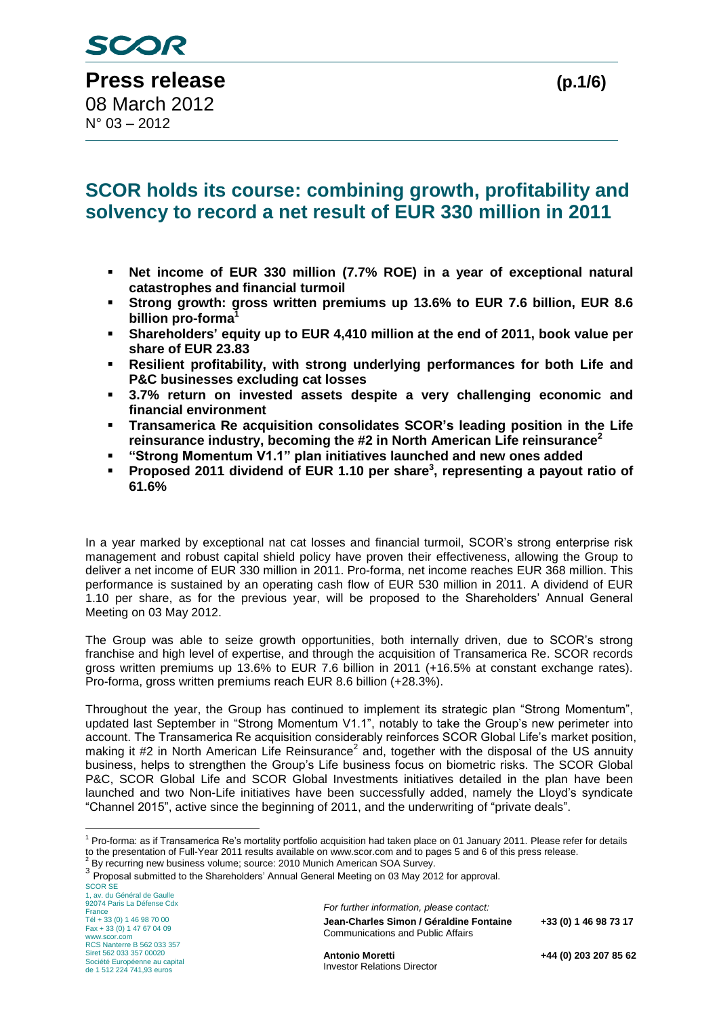$N^{\circ}$  03 – 2012

## **SCOR holds its course: combining growth, profitability and solvency to record a net result of EUR 330 million in 2011**

- **Net income of EUR 330 million (7.7% ROE) in a year of exceptional natural catastrophes and financial turmoil**
- **Strong growth: gross written premiums up 13.6% to EUR 7.6 billion, EUR 8.6 billion pro-forma**<sup>1</sup>
- **Shareholders' equity up to EUR 4,410 million at the end of 2011, book value per share of EUR 23.83**
- **Resilient profitability, with strong underlying performances for both Life and P&C businesses excluding cat losses**
- **3.7% return on invested assets despite a very challenging economic and financial environment**
- **Transamerica Re acquisition consolidates SCOR's leading position in the Life reinsurance industry, becoming the #2 in North American Life reinsurance<sup>2</sup>**
- **"Strong Momentum V1.1" plan initiatives launched and new ones added**
- **Proposed 2011 dividend of EUR 1.10 per share<sup>3</sup>, representing a payout ratio of 61.6%**

In a year marked by exceptional nat cat losses and financial turmoil, SCOR's strong enterprise risk management and robust capital shield policy have proven their effectiveness, allowing the Group to deliver a net income of EUR 330 million in 2011. Pro-forma, net income reaches EUR 368 million. This performance is sustained by an operating cash flow of EUR 530 million in 2011. A dividend of EUR 1.10 per share, as for the previous year, will be proposed to the Shareholders' Annual General Meeting on 03 May 2012.

The Group was able to seize growth opportunities, both internally driven, due to SCOR's strong franchise and high level of expertise, and through the acquisition of Transamerica Re. SCOR records gross written premiums up 13.6% to EUR 7.6 billion in 2011 (+16.5% at constant exchange rates). Pro-forma, gross written premiums reach EUR 8.6 billion (+28.3%).

Throughout the year, the Group has continued to implement its strategic plan "Strong Momentum", updated last September in "Strong Momentum V1.1", notably to take the Group's new perimeter into account. The Transamerica Re acquisition considerably reinforces SCOR Global Life's market position, making it #2 in North American Life Reinsurance<sup>2</sup> and, together with the disposal of the US annuity business, helps to strengthen the Group's Life business focus on biometric risks. The SCOR Global P&C, SCOR Global Life and SCOR Global Investments initiatives detailed in the plan have been launched and two Non-Life initiatives have been successfully added, namely the Lloyd's syndicate "Channel 2015", active since the beginning of 2011, and the underwriting of "private deals".

SCOR SE 1, av. du Général de Gaulle 92074 Paris La Défense Cdx France Tél + 33 (0) 1 46 98 70 00 Fax + 33 (0) 1 47 67 04 09 www.scor.com RCS Nanterre B 562 033 357 Siret 562 033 357 00020 Société Européenne au capital de 1 512 224 741,93 euros

1

*For further information, please contact:* **Jean-Charles Simon / Géraldine Fontaine +33 (0) 1 46 98 73 17** Communications and Public Affairs

**Antonio Moretti +44 (0) 203 207 85 62**

 $1$  Pro-forma: as if Transamerica Re's mortality portfolio acquisition had taken place on 01 January 2011. Please refer for details to the presentation of Full-Year 2011 results available on www.scor.com and to pages 5 and 6 of this press release.  $^2$  By recurring new business volume; source: 2010 Munich American SOA Survey.

<sup>&</sup>lt;sup>3</sup> Proposal submitted to the Shareholders' Annual General Meeting on 03 May 2012 for approval.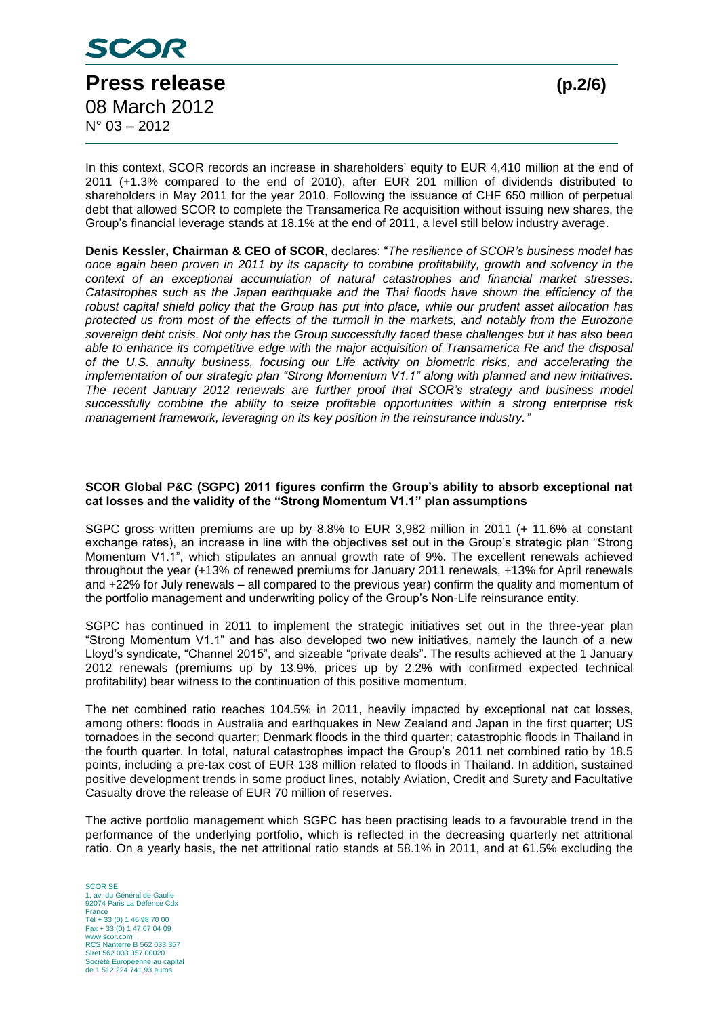

In this context, SCOR records an increase in shareholders' equity to EUR 4,410 million at the end of 2011 (+1.3% compared to the end of 2010), after EUR 201 million of dividends distributed to shareholders in May 2011 for the year 2010. Following the issuance of CHF 650 million of perpetual debt that allowed SCOR to complete the Transamerica Re acquisition without issuing new shares, the Group's financial leverage stands at 18.1% at the end of 2011, a level still below industry average.

**Denis Kessler, Chairman & CEO of SCOR**, declares: "*The resilience of SCOR's business model has once again been proven in 2011 by its capacity to combine profitability, growth and solvency in the context of an exceptional accumulation of natural catastrophes and financial market stresses. Catastrophes such as the Japan earthquake and the Thai floods have shown the efficiency of the robust capital shield policy that the Group has put into place, while our prudent asset allocation has protected us from most of the effects of the turmoil in the markets, and notably from the Eurozone sovereign debt crisis. Not only has the Group successfully faced these challenges but it has also been able to enhance its competitive edge with the major acquisition of Transamerica Re and the disposal of the U.S. annuity business, focusing our Life activity on biometric risks, and accelerating the implementation of our strategic plan "Strong Momentum V1.1" along with planned and new initiatives. The recent January 2012 renewals are further proof that SCOR's strategy and business model successfully combine the ability to seize profitable opportunities within a strong enterprise risk management framework, leveraging on its key position in the reinsurance industry."*

#### **SCOR Global P&C (SGPC) 2011 figures confirm the Group's ability to absorb exceptional nat cat losses and the validity of the "Strong Momentum V1.1" plan assumptions**

SGPC gross written premiums are up by 8.8% to EUR 3,982 million in 2011 (+ 11.6% at constant exchange rates), an increase in line with the objectives set out in the Group's strategic plan "Strong Momentum V1.1", which stipulates an annual growth rate of 9%. The excellent renewals achieved throughout the year (+13% of renewed premiums for January 2011 renewals, +13% for April renewals and +22% for July renewals – all compared to the previous year) confirm the quality and momentum of the portfolio management and underwriting policy of the Group's Non-Life reinsurance entity.

SGPC has continued in 2011 to implement the strategic initiatives set out in the three-year plan "Strong Momentum V1.1" and has also developed two new initiatives, namely the launch of a new Lloyd's syndicate, "Channel 2015", and sizeable "private deals". The results achieved at the 1 January 2012 renewals (premiums up by 13.9%, prices up by 2.2% with confirmed expected technical profitability) bear witness to the continuation of this positive momentum.

The net combined ratio reaches 104.5% in 2011, heavily impacted by exceptional nat cat losses, among others: floods in Australia and earthquakes in New Zealand and Japan in the first quarter; US tornadoes in the second quarter; Denmark floods in the third quarter; catastrophic floods in Thailand in the fourth quarter. In total, natural catastrophes impact the Group's 2011 net combined ratio by 18.5 points, including a pre-tax cost of EUR 138 million related to floods in Thailand. In addition, sustained positive development trends in some product lines, notably Aviation, Credit and Surety and Facultative Casualty drove the release of EUR 70 million of reserves.

The active portfolio management which SGPC has been practising leads to a favourable trend in the performance of the underlying portfolio, which is reflected in the decreasing quarterly net attritional ratio. On a yearly basis, the net attritional ratio stands at 58.1% in 2011, and at 61.5% excluding the

SCOR SE **av.** du Général de Gaulle 92074 Paris La Défense Cdx France Tél + 33 (0) 1 46 98 70 00 Fax + 33 (0) 1 47 67 04 09 www.scor.com RCS Nanterre B 562 033 357 Siret 562 033 357 00020 Société Européenne au capital de 1 512 224 741,93 euros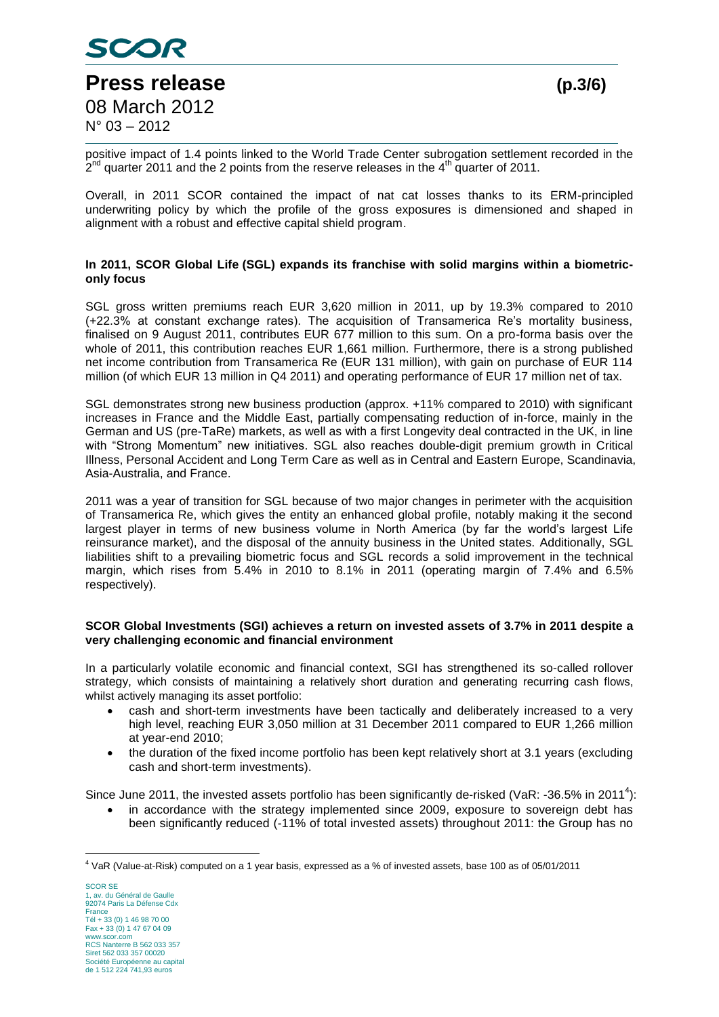

 $N^{\circ}$  03 – 2012

# **Press release (p.3/6)** 08 March 2012

positive impact of 1.4 points linked to the World Trade Center subrogation settlement recorded in the  $2^{nd}$  quarter 2011 and the 2 points from the reserve releases in the 4<sup>th</sup> quarter of 2011.

Overall, in 2011 SCOR contained the impact of nat cat losses thanks to its ERM-principled underwriting policy by which the profile of the gross exposures is dimensioned and shaped in alignment with a robust and effective capital shield program.

## **In 2011, SCOR Global Life (SGL) expands its franchise with solid margins within a biometriconly focus**

SGL gross written premiums reach EUR 3,620 million in 2011, up by 19.3% compared to 2010 (+22.3% at constant exchange rates). The acquisition of Transamerica Re's mortality business, finalised on 9 August 2011, contributes EUR 677 million to this sum. On a pro-forma basis over the whole of 2011, this contribution reaches EUR 1,661 million. Furthermore, there is a strong published net income contribution from Transamerica Re (EUR 131 million), with gain on purchase of EUR 114 million (of which EUR 13 million in Q4 2011) and operating performance of EUR 17 million net of tax.

SGL demonstrates strong new business production (approx. +11% compared to 2010) with significant increases in France and the Middle East, partially compensating reduction of in-force, mainly in the German and US (pre-TaRe) markets, as well as with a first Longevity deal contracted in the UK, in line with "Strong Momentum" new initiatives. SGL also reaches double-digit premium growth in Critical Illness, Personal Accident and Long Term Care as well as in Central and Eastern Europe, Scandinavia, Asia-Australia, and France.

2011 was a year of transition for SGL because of two major changes in perimeter with the acquisition of Transamerica Re, which gives the entity an enhanced global profile, notably making it the second largest player in terms of new business volume in North America (by far the world's largest Life reinsurance market), and the disposal of the annuity business in the United states. Additionally, SGL liabilities shift to a prevailing biometric focus and SGL records a solid improvement in the technical margin, which rises from 5.4% in 2010 to 8.1% in 2011 (operating margin of 7.4% and 6.5% respectively).

## **SCOR Global Investments (SGI) achieves a return on invested assets of 3.7% in 2011 despite a very challenging economic and financial environment**

In a particularly volatile economic and financial context, SGI has strengthened its so-called rollover strategy, which consists of maintaining a relatively short duration and generating recurring cash flows, whilst actively managing its asset portfolio:

- cash and short-term investments have been tactically and deliberately increased to a very high level, reaching EUR 3,050 million at 31 December 2011 compared to EUR 1,266 million at year-end 2010;
- the duration of the fixed income portfolio has been kept relatively short at 3.1 years (excluding cash and short-term investments).

Since June 2011, the invested assets portfolio has been significantly de-risked (VaR: -36.5% in 2011<sup>4</sup>):

 in accordance with the strategy implemented since 2009, exposure to sovereign debt has been significantly reduced (-11% of total invested assets) throughout 2011: the Group has no

SCOR SE 1, av. du Général de Gaulle 92074 Paris La Défense Cdx France Tél + 33 (0) 1 46 98 70 00 Fax + 33 (0) 1 47 67 04 09 www.scor.com RCS Nanterre B 562 033 357 Siret 562 033 357 00020 Société Européenne au capital de 1 512 224 741,93 euros

<sup>1</sup> <sup>4</sup> VaR (Value-at-Risk) computed on a 1 year basis, expressed as a % of invested assets, base 100 as of 05/01/2011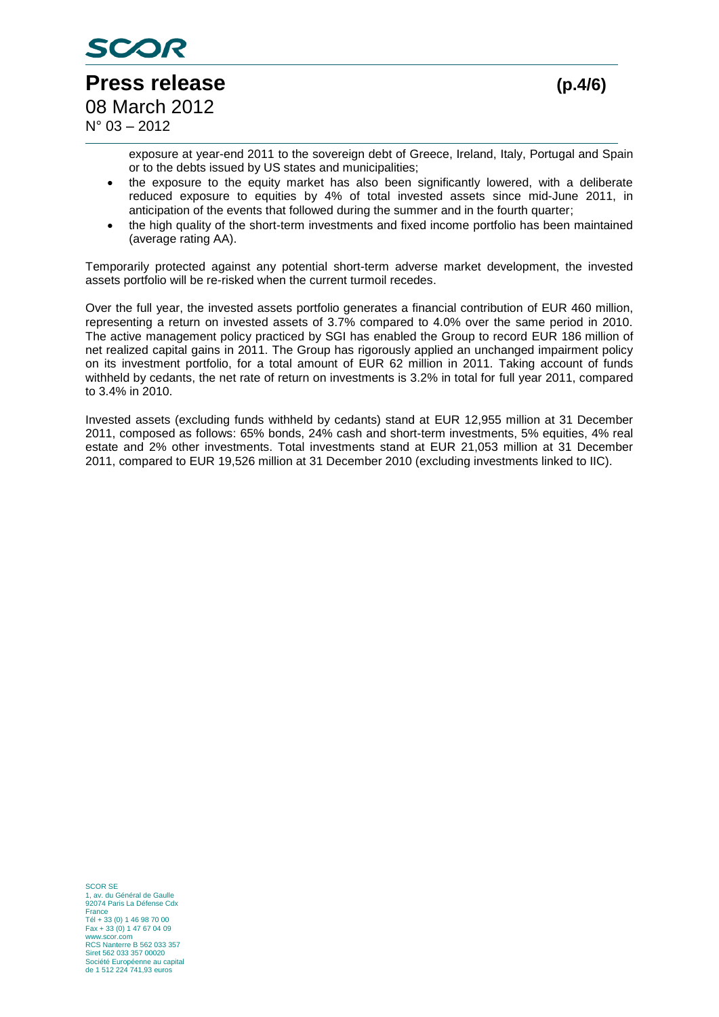

 $N^{\circ}$  03 – 2012

**Press release (p.4/6)** 08 March 2012

exposure at year-end 2011 to the sovereign debt of Greece, Ireland, Italy, Portugal and Spain or to the debts issued by US states and municipalities;

- the exposure to the equity market has also been significantly lowered, with a deliberate reduced exposure to equities by 4% of total invested assets since mid-June 2011, in anticipation of the events that followed during the summer and in the fourth quarter;
- the high quality of the short-term investments and fixed income portfolio has been maintained (average rating AA).

Temporarily protected against any potential short-term adverse market development, the invested assets portfolio will be re-risked when the current turmoil recedes.

Over the full year, the invested assets portfolio generates a financial contribution of EUR 460 million, representing a return on invested assets of 3.7% compared to 4.0% over the same period in 2010. The active management policy practiced by SGI has enabled the Group to record EUR 186 million of net realized capital gains in 2011. The Group has rigorously applied an unchanged impairment policy on its investment portfolio, for a total amount of EUR 62 million in 2011. Taking account of funds withheld by cedants, the net rate of return on investments is 3.2% in total for full year 2011, compared to 3.4% in 2010.

Invested assets (excluding funds withheld by cedants) stand at EUR 12,955 million at 31 December 2011, composed as follows: 65% bonds, 24% cash and short-term investments, 5% equities, 4% real estate and 2% other investments. Total investments stand at EUR 21,053 million at 31 December 2011, compared to EUR 19,526 million at 31 December 2010 (excluding investments linked to IIC).

SCOR SE 1, av. du Général de Gaulle 92074 Paris La Défense Cdx France Tél + 33 (0) 1 46 98 70 00 Fax + 33 (0) 1 47 67 04 09 www.scor.com RCS Nanterre B 562 033 357 Siret 562 033 357 00020 Société Européenne au capital de 1 512 224 741,93 euros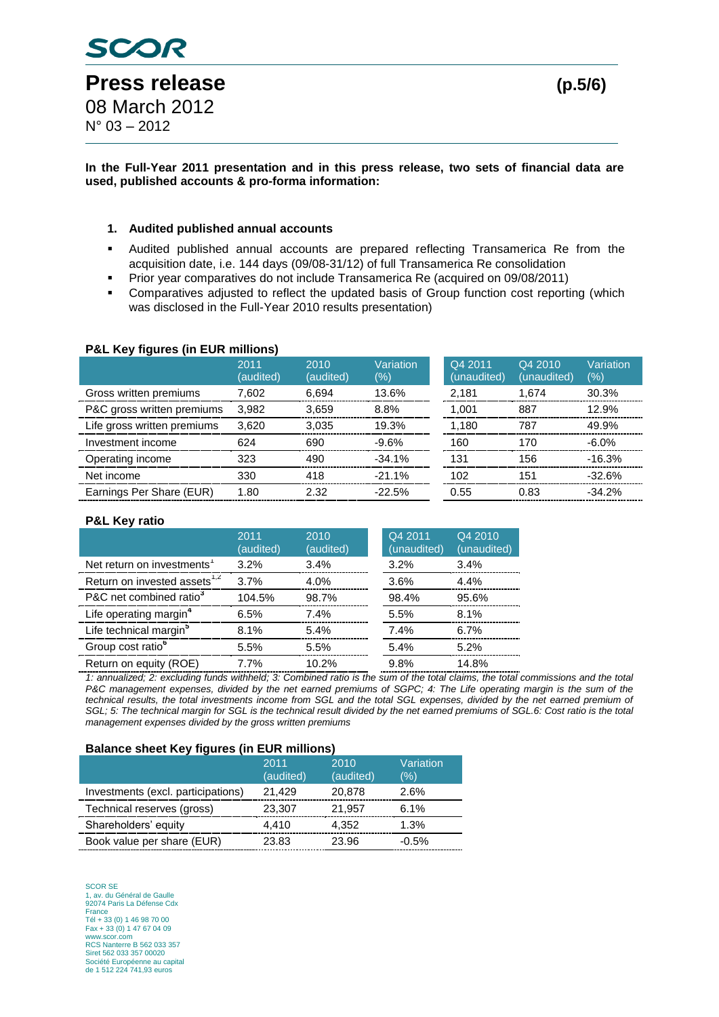#### **In the Full-Year 2011 presentation and in this press release, two sets of financial data are used, published accounts & pro-forma information:**

### **1. Audited published annual accounts**

- Audited published annual accounts are prepared reflecting Transamerica Re from the acquisition date, i.e. 144 days (09/08-31/12) of full Transamerica Re consolidation
- Prior year comparatives do not include Transamerica Re (acquired on 09/08/2011)
- Comparatives adjusted to reflect the updated basis of Group function cost reporting (which was disclosed in the Full-Year 2010 results presentation)

## **P&L Key figures (in EUR millions)**

|                             | 2011<br>(audited) | 2010<br>(audited) | Variation<br>(%) | Q4 2011<br>(unaudited) | Q4 2010<br>(unaudited) | Variation<br>(%) |
|-----------------------------|-------------------|-------------------|------------------|------------------------|------------------------|------------------|
| Gross written premiums      | 7.602             | 6.694             | 13.6%            | 2.181                  | 1.674                  | 30.3%            |
| P&C gross written premiums  | 3.982             | 3.659             | 8.8%             | 1.001                  | 887                    | 12.9%            |
| Life gross written premiums | 3.620             | 3.035             | 19.3%            | 1.180                  | 787                    | 49.9%            |
| Investment income           | 624               | 690               | $-9.6%$          | 160                    | 170                    | $-6.0\%$         |
| Operating income            | 323               | 490               | $-34.1%$         | 131                    | 156                    | $-16.3%$         |
| Net income                  | 330               | 418               | $-21.1%$         | 102                    | 151                    | $-32.6%$         |
| Earnings Per Share (EUR)    | 1.80              | 2.32              | $-22.5%$         | 0.55                   | 0.83                   | $-34.2%$         |

#### **P&L Key ratio**

|                                          | 2011<br>(audited) | 2010<br>(audited) | Q4 2011<br>(unaudited) | Q4 2010<br>(unaudited) |
|------------------------------------------|-------------------|-------------------|------------------------|------------------------|
| Net return on investments <sup>1</sup>   | 3.2%              | 3.4%              | 3.2%                   | 3.4%                   |
| Return on invested assets <sup>1,2</sup> | 3.7%              | 4.0%              | 3.6%                   | 4.4%                   |
| P&C net combined ratio <sup>3</sup>      | 104.5%            | 98.7%             | 98.4%                  | 95.6%                  |
| Life operating margin <sup>4</sup>       | 6.5%              | 7.4%              | 5.5%                   | 8.1%                   |
| Life technical margin <sup>5</sup>       | 8.1%              | 5.4%              | 7.4%                   | 6.7%                   |
| Group cost ratio <sup>o</sup>            | 5.5%              | 5.5%              | 5.4%                   | 5.2%                   |
| Return on equity (ROE)                   | 7.7%              | 10.2%             | 9.8%                   | 14.8%                  |

*1: annualized; 2: excluding funds withheld; 3: Combined ratio is the sum of the total claims, the total commissions and the total*  P&C management expenses, divided by the net earned premiums of SGPC; 4: The Life operating margin is the sum of the *technical results, the total investments income from SGL and the total SGL expenses, divided by the net earned premium of SGL; 5: The technical margin for SGL is the technical result divided by the net earned premiums of SGL.6: Cost ratio is the total management expenses divided by the gross written premiums*

#### **Balance sheet Key figures (in EUR millions)**

|                                    | 2011<br>(audited) | 2010<br>(audited) | Variation<br>(%) |
|------------------------------------|-------------------|-------------------|------------------|
| Investments (excl. participations) | 21,429            | 20,878            | 2.6%             |
| Technical reserves (gross)         | 23,307            | 21,957            | 6.1%             |
| Shareholders' equity               | 4,410             | 4,352             | 1.3%             |
| Book value per share (EUR)         | 23.83             | 23.96             | $-0.5%$          |

SCOR SE 1, av. du Général de Gaulle 92074 Paris La Défense Cdx France Tél + 33 (0) 1 46 98 70 00 Fax + 33 (0) 1 47 67 04 09 www.scor.com RCS Nanterre B 562 033 357 Siret 562 033 357 00020 Société Européenne au capital de 1 512 224 741,93 euros